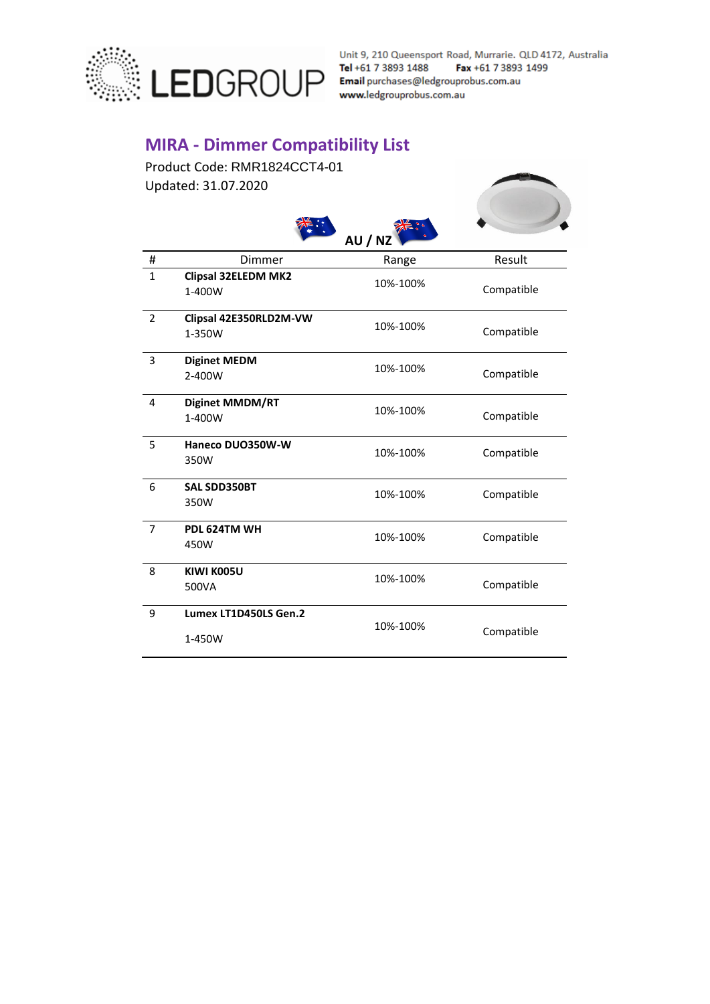

Unit 9, 210 Queensport Road, Murrarie. QLD 4172, Australia

## **MIRA - Dimmer Compatibility List**

 $\frac{1}{2}$ 

 $\triangleleft$ 

Product Code: RMR1824CCT4-01 Updated: 31.07.2020



|                |                                  | AU / NZ  |            |  |
|----------------|----------------------------------|----------|------------|--|
| #              | Dimmer                           | Range    | Result     |  |
| $\mathbf{1}$   | Clipsal 32ELEDM MK2<br>1-400W    | 10%-100% | Compatible |  |
| $\overline{2}$ | Clipsal 42E350RLD2M-VW<br>1-350W | 10%-100% | Compatible |  |
| 3              | <b>Diginet MEDM</b><br>2-400W    | 10%-100% | Compatible |  |
| 4              | <b>Diginet MMDM/RT</b><br>1-400W | 10%-100% | Compatible |  |
| 5              | Haneco DUO350W-W<br>350W         | 10%-100% | Compatible |  |
| 6              | <b>SAL SDD350BT</b><br>350W      | 10%-100% | Compatible |  |
| $\overline{7}$ | PDL 624TM WH<br>450W             | 10%-100% | Compatible |  |
| 8              | KIWI K005U<br>500VA              | 10%-100% | Compatible |  |
| 9              | Lumex LT1D450LS Gen.2<br>1-450W  | 10%-100% | Compatible |  |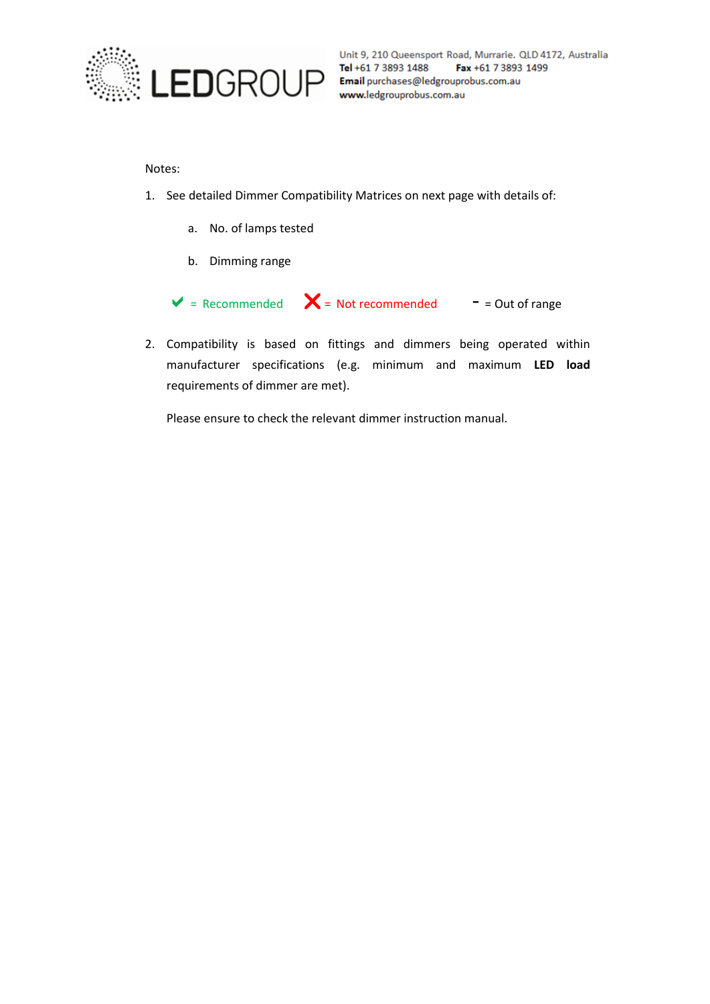

Unit 9, 210 Queensport Road, Murrarie. QLD 4172, Australia<br>  $\text{Lenf}$   $\text{lenif}$  +61 7 3893 1488 Fax +61 7 3893 1499<br>  $\text{Email}$  purchases@ledgrouprobus.com.au<br>
www.ledgrouprobus.com.au

## Notes:

- 1. See detailed Dimmer Compatibility Matrices on next page with details of:
	- a. No. of lamps tested
	- b. Dimming range

 $\triangledown$  = Recommended  $\triangledown$  = Not recommended - = Out of range

2. Compatibility is based on fittings and dimmers being operated within manufacturer specifications (e.g. minimum and maximum **LED load** requirements of dimmer are met).

Please ensure to check the relevant dimmer instruction manual.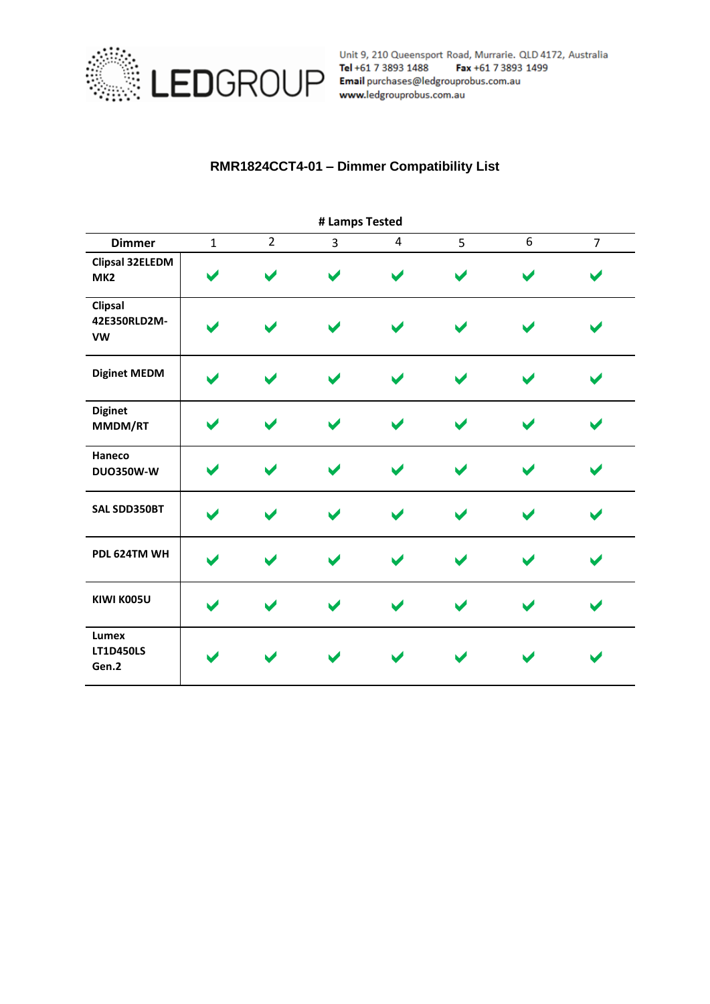

Unit 9, 210 Queensport Road, Murrarie. QLD 4172, Australia<br>
Tel +61 7 3893 1488 Fax +61 7 3893 1499<br>
EDGROUP Email purchases@ledgrouprobus.com.au<br>
www.ledgrouprobus.com.au

## **RMR1824CCT4-01 – Dimmer Compatibility List**

| # Lamps Tested                            |              |                |                |                       |   |   |                |  |
|-------------------------------------------|--------------|----------------|----------------|-----------------------|---|---|----------------|--|
| <b>Dimmer</b>                             | $\mathbf{1}$ | $\overline{2}$ | $\overline{3}$ | $\overline{4}$        | 5 | 6 | $\overline{7}$ |  |
| <b>Clipsal 32ELEDM</b><br>MK <sub>2</sub> |              |                |                | $\blacktriangleright$ | M |   |                |  |
| Clipsal<br>42E350RLD2M-<br>VW             |              |                |                | $\blacktriangleright$ | M |   |                |  |
| <b>Diginet MEDM</b>                       |              |                |                |                       |   |   |                |  |
| <b>Diginet</b><br>MMDM/RT                 |              |                |                |                       |   |   |                |  |
| Haneco<br><b>DUO350W-W</b>                |              |                |                | $\blacktriangleright$ |   |   |                |  |
| SAL SDD350BT                              |              |                |                | $\blacktriangleright$ |   |   |                |  |
| PDL 624TM WH                              |              |                |                | $\blacktriangleright$ |   |   |                |  |
| KIWI K005U                                |              |                |                |                       |   |   |                |  |
| Lumex<br><b>LT1D450LS</b><br>Gen.2        |              |                |                |                       |   |   |                |  |